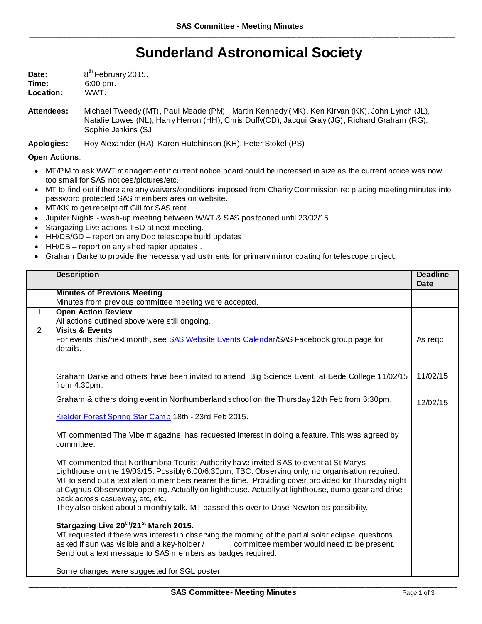## **Sunderland Astronomical Society**

| Date:     | 8 <sup>th</sup> February 2015. |
|-----------|--------------------------------|
| Time:     | $6:00 \text{ pm}$ .            |
| Location: | WWT.                           |

**Attendees:** Michael Tweedy (MT), Paul Meade (PM), Martin Kennedy (MK), Ken Kirvan (KK), John Lynch (JL), Natalie Lowes (NL), Harry Herron (HH), Chris Duffy(CD), Jacqui Gray (JG), Richard Graham (RG), Sophie Jenkins (SJ

**Apologies:** Roy Alexander (RA), Karen Hutchinson (KH), Peter Stokel (PS)

## **Open Actions**:

- MT/PM to ask WWT management if current notice board could be increased in size as the current notice was now too small for SAS notices/pictures/etc.
- MT to find out if there are any waivers/conditions imposed from Charity Commission re: placing meeting minutes into password protected SAS members area on website.
- MT/KK to get receipt off Gill for SAS rent.
- Jupiter Nights wash-up meeting between WWT & SAS postponed until 23/02/15.
- Stargazing Live actions TBD at next meeting.
- HH/DB/GD report on any Dob telescope build updates.
- HH/DB report on any shed rapier updates..
- Graham Darke to provide the necessary adjustments for primary mirror coating for telescope project.

|                | <b>Description</b>                                                                                                                                                                                                                                                                                                                                                                                                                                                                                                                     | <b>Deadline</b><br>Date |
|----------------|----------------------------------------------------------------------------------------------------------------------------------------------------------------------------------------------------------------------------------------------------------------------------------------------------------------------------------------------------------------------------------------------------------------------------------------------------------------------------------------------------------------------------------------|-------------------------|
|                | <b>Minutes of Previous Meeting</b>                                                                                                                                                                                                                                                                                                                                                                                                                                                                                                     |                         |
|                | Minutes from previous committee meeting were accepted.                                                                                                                                                                                                                                                                                                                                                                                                                                                                                 |                         |
| $\mathbf{1}$   | <b>Open Action Review</b>                                                                                                                                                                                                                                                                                                                                                                                                                                                                                                              |                         |
|                | All actions outlined above were still ongoing.                                                                                                                                                                                                                                                                                                                                                                                                                                                                                         |                         |
| $\overline{2}$ | <b>Visits &amp; Events</b><br>For events this/next month, see SAS Website Events Calendar/SAS Facebook group page for<br>details.                                                                                                                                                                                                                                                                                                                                                                                                      | As regd.                |
|                | Graham Darke and others have been invited to attend Big Science Event at Bede College 11/02/15<br>from $4:30$ pm.                                                                                                                                                                                                                                                                                                                                                                                                                      | 11/02/15                |
|                | Graham & others doing event in Northumberland school on the Thursday 12th Feb from 6:30pm.                                                                                                                                                                                                                                                                                                                                                                                                                                             | 12/02/15                |
|                | Kielder Forest Spring Star Camp 18th - 23rd Feb 2015.                                                                                                                                                                                                                                                                                                                                                                                                                                                                                  |                         |
|                | MT commented The Vibe magazine, has requested interest in doing a feature. This was agreed by<br>committee.                                                                                                                                                                                                                                                                                                                                                                                                                            |                         |
|                | MT commented that Northumbria Tourist Authority have invited SAS to event at St Mary's<br>Lighthouse on the 19/03/15. Possibly 6:00/6:30pm, TBC. Observing only, no organisation required.<br>MT to send out a text alert to members nearer the time. Providing cover provided for Thursday night<br>at Cygnus Observatory opening. Actually on lighthouse. Actually at lighthouse, dump gear and drive<br>back across casueway, etc, etc.<br>They also asked about a monthly talk. MT passed this over to Dave Newton as possibility. |                         |
|                | Stargazing Live 20 <sup>th</sup> /21 <sup>st</sup> March 2015.<br>MT requested if there was interest in observing the moming of the partial solar eclipse. questions<br>asked if sun was visible and a key-holder / committee member would need to be present.<br>Send out a text message to SAS members as badges required.                                                                                                                                                                                                           |                         |
|                | Some changes were suggested for SGL poster.                                                                                                                                                                                                                                                                                                                                                                                                                                                                                            |                         |

\_\_\_\_\_\_\_\_\_\_\_\_\_\_\_\_\_\_\_\_\_\_\_\_\_\_\_\_\_\_\_\_\_\_\_\_\_\_\_\_\_\_\_\_\_\_\_\_\_\_\_\_\_\_\_\_\_\_\_\_\_\_\_\_\_\_\_\_\_\_\_\_\_\_\_\_\_\_\_\_\_\_\_\_\_\_\_\_\_\_\_\_\_\_\_\_\_\_\_\_\_\_\_\_\_\_\_\_\_\_\_\_\_\_\_\_\_\_\_\_\_\_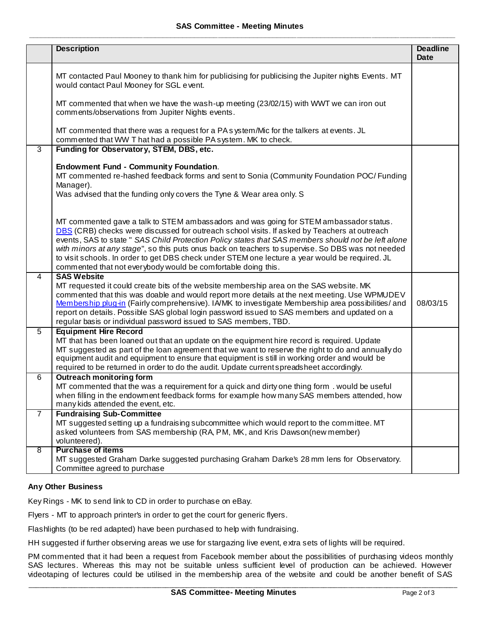|                | <b>Description</b>                                                                                                                                                                                                                                                                                                                                                                                                                                                                                                                                                     | <b>Deadline</b><br>Date |
|----------------|------------------------------------------------------------------------------------------------------------------------------------------------------------------------------------------------------------------------------------------------------------------------------------------------------------------------------------------------------------------------------------------------------------------------------------------------------------------------------------------------------------------------------------------------------------------------|-------------------------|
|                | MT contacted Paul Mooney to thank him for publicising for publicising the Jupiter nights Events. MT<br>would contact Paul Mooney for SGL event.                                                                                                                                                                                                                                                                                                                                                                                                                        |                         |
|                | MT commented that when we have the wash-up meeting (23/02/15) with WWT we can iron out<br>comments/observations from Jupiter Nights events.                                                                                                                                                                                                                                                                                                                                                                                                                            |                         |
|                | MT commented that there was a request for a PA system/Mic for the talkers at events. JL<br>commented that WW T hat had a possible PA system. MK to check.                                                                                                                                                                                                                                                                                                                                                                                                              |                         |
| $\overline{3}$ | Funding for Observatory, STEM, DBS, etc.                                                                                                                                                                                                                                                                                                                                                                                                                                                                                                                               |                         |
|                | <b>Endowment Fund - Community Foundation.</b><br>MT commented re-hashed feedback forms and sent to Sonia (Community Foundation POC/ Funding<br>Manager).<br>Was advised that the funding only covers the Tyne & Wear area only. S                                                                                                                                                                                                                                                                                                                                      |                         |
|                | MT commented gave a talk to STEM ambassadors and was going for STEM ambassador status.<br>DBS (CRB) checks were discussed for outreach school visits. If asked by Teachers at outreach<br>events, SAS to state " SAS Child Protection Policy states that SAS members should not be left alone<br>with minors at any stage", so this puts onus back on teachers to supervise. So DBS was not needed<br>to visit schools. In order to get DBS check under STEM one lecture a year would be required. JL<br>commented that not everybody would be comfortable doing this. |                         |
| $\overline{4}$ | <b>SAS Website</b><br>MT requested it could create bits of the website membership area on the SAS website. MK<br>commented that this was doable and would report more details at the next meeting. Use WPMUDEV<br>Membership plug-in (Fairly comprehensive). IA/MK to investigate Membership area possibilities/ and<br>report on details. Possible SAS global login password issued to SAS members and updated on a<br>regular basis or individual password issued to SAS members, TBD.                                                                               | 08/03/15                |
| $\overline{5}$ | <b>Equipment Hire Record</b><br>MT that has been loaned out that an update on the equipment hire record is required. Update<br>MT suggested as part of the loan agreement that we want to reserve the right to do and annually do<br>equipment audit and equipment to ensure that equipment is still in working order and would be<br>required to be returned in order to do the audit. Update current spreadsheet accordingly.                                                                                                                                        |                         |
| 6              | <b>Outreach monitoring form</b><br>MT commented that the was a requirement for a quick and dirty one thing form. would be useful<br>when filling in the endowment feedback forms for example how many SAS members attended, how<br>many kids attended the event, etc.                                                                                                                                                                                                                                                                                                  |                         |
| $\overline{7}$ | <b>Fundraising Sub-Committee</b><br>MT suggested setting up a fundraising subcommittee which would report to the committee. MT<br>asked volunteers from SAS membership (RA, PM, MK, and Kris Dawson(new member)<br>volunteered).                                                                                                                                                                                                                                                                                                                                       |                         |
| 8              | <b>Purchase of items</b><br>MT suggested Graham Darke suggested purchasing Graham Darke's 28 mm lens for Observatory.<br>Committee agreed to purchase                                                                                                                                                                                                                                                                                                                                                                                                                  |                         |

## **Any Other Business**

Key Rings - MK to send link to CD in order to purchase on eBay.

Flyers - MT to approach printer's in order to get the court for generic flyers.

Flashlights (to be red adapted) have been purchased to help with fundraising.

HH suggested if further observing areas we use for stargazing live event, extra sets of lights will be required.

PM commented that it had been a request from Facebook member about the possibilities of purchasing videos monthly SAS lectures. Whereas this may not be suitable unless sufficient level of production can be achieved. However videotaping of lectures could be utilised in the membership area of the website and could be another benefit of SAS

\_\_\_\_\_\_\_\_\_\_\_\_\_\_\_\_\_\_\_\_\_\_\_\_\_\_\_\_\_\_\_\_\_\_\_\_\_\_\_\_\_\_\_\_\_\_\_\_\_\_\_\_\_\_\_\_\_\_\_\_\_\_\_\_\_\_\_\_\_\_\_\_\_\_\_\_\_\_\_\_\_\_\_\_\_\_\_\_\_\_\_\_\_\_\_\_\_\_\_\_\_\_\_\_\_\_\_\_\_\_\_\_\_\_\_\_\_\_\_\_\_\_